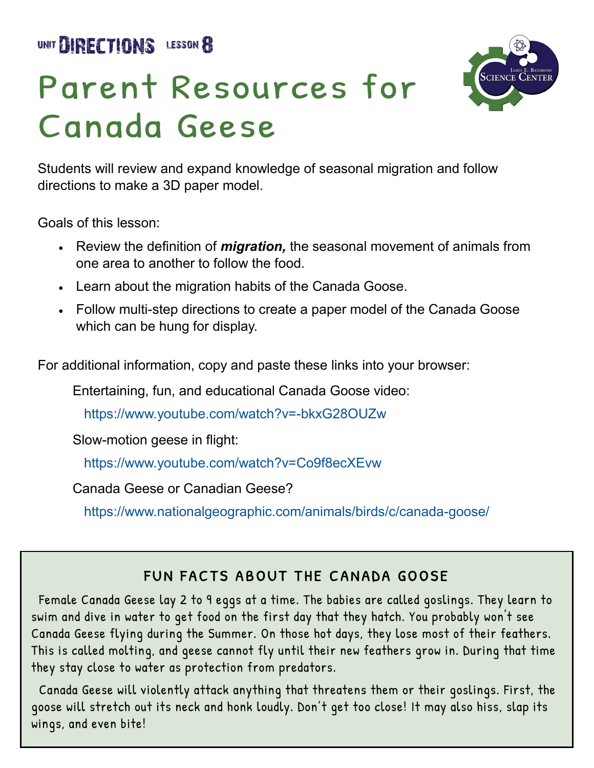UNIT **BIRECTIONS** LESSON 8



## Parent Resources for Canada Geese

Students will review and expand knowledge of seasonal migration and follow directions to make a 3D paper model.

Goals of this lesson:

- Review the definition of *migration,* the seasonal movement of animals from one area to another to follow the food.
- Learn about the migration habits of the Canada Goose.
- Follow multi-step directions to create a paper model of the Canada Goose which can be hung for display.

For additional information, copy and paste these links into your browser:

Entertaining, fun, and educational Canada Goose video:

[https://www.youtube.com/watch?v=](https://www.youtube.com/watch?v=-bkxG28OUZw)-bkxG28OUZw

Slow-motion geese in flight:

<https://www.youtube.com/watch?v=Co9f8ecXEvw>

Canada Geese or Canadian Geese?

[https://www.nationalgeographic.com/animals/birds/c/canada](https://www.nationalgeographic.com/animals/birds/c/canada-goose/)-goose/

## FUN FACTS ABOUT THE CANADA GOOSE

 Female Canada Geese lay 2 to 9 eggs at a time. The babies are called goslings. They learn to swim and dive in water to get food on the first day that they hatch. You probably won't see Canada Geese flying during the Summer. On those hot days, they lose most of their feathers. This is called molting, and geese cannot fly until their new feathers grow in. During that time they stay close to water as protection from predators.

 Canada Geese will violently attack anything that threatens them or their goslings. First, the goose will stretch out its neck and honk loudly. Don't get too close! It may also hiss, slap its wings, and even bite!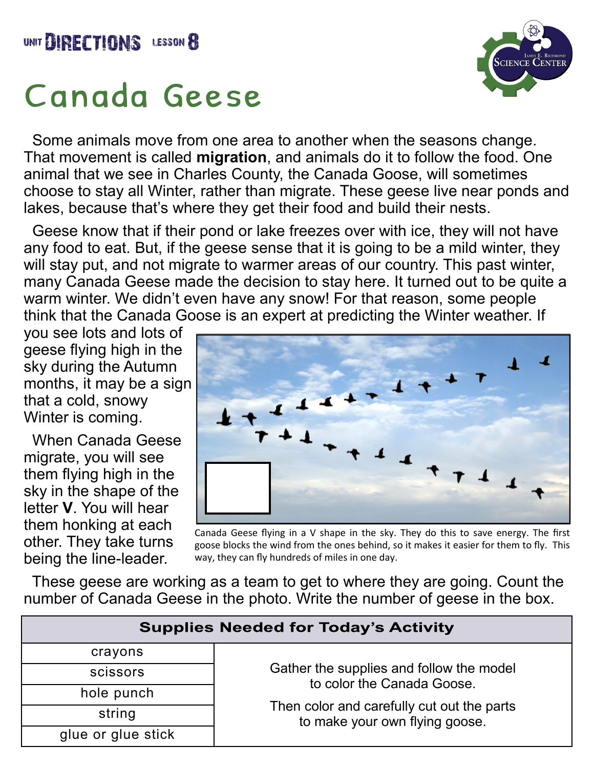

## Canada Geese



 Some animals move from one area to another when the seasons change. That movement is called **migration**, and animals do it to follow the food. One animal that we see in Charles County, the Canada Goose, will sometimes choose to stay all Winter, rather than migrate. These geese live near ponds and lakes, because that's where they get their food and build their nests.

 Geese know that if their pond or lake freezes over with ice, they will not have any food to eat. But, if the geese sense that it is going to be a mild winter, they will stay put, and not migrate to warmer areas of our country. This past winter, many Canada Geese made the decision to stay here. It turned out to be quite a warm winter. We didn't even have any snow! For that reason, some people think that the Canada Goose is an expert at predicting the Winter weather. If

you see lots and lots of geese flying high in the sky during the Autumn months, it may be a sign that a cold, snowy Winter is coming.

 When Canada Geese migrate, you will see them flying high in the sky in the shape of the letter **V**. You will hear them honking at each other. They take turns being the line-leader.



Canada Geese flying in a V shape in the sky. They do this to save energy. The first goose blocks the wind from the ones behind, so it makes it easier for them to fly. This way, they can fly hundreds of miles in one day.

 These geese are working as a team to get to where they are going. Count the number of Canada Geese in the photo. Write the number of geese in the box.

| <b>Supplies Needed for Today's Activity</b> |                                                                                                                                                        |
|---------------------------------------------|--------------------------------------------------------------------------------------------------------------------------------------------------------|
| crayons                                     |                                                                                                                                                        |
| scissors                                    | Gather the supplies and follow the model<br>to color the Canada Goose.<br>Then color and carefully cut out the parts<br>to make your own flying goose. |
| hole punch                                  |                                                                                                                                                        |
| string                                      |                                                                                                                                                        |
| glue or glue stick                          |                                                                                                                                                        |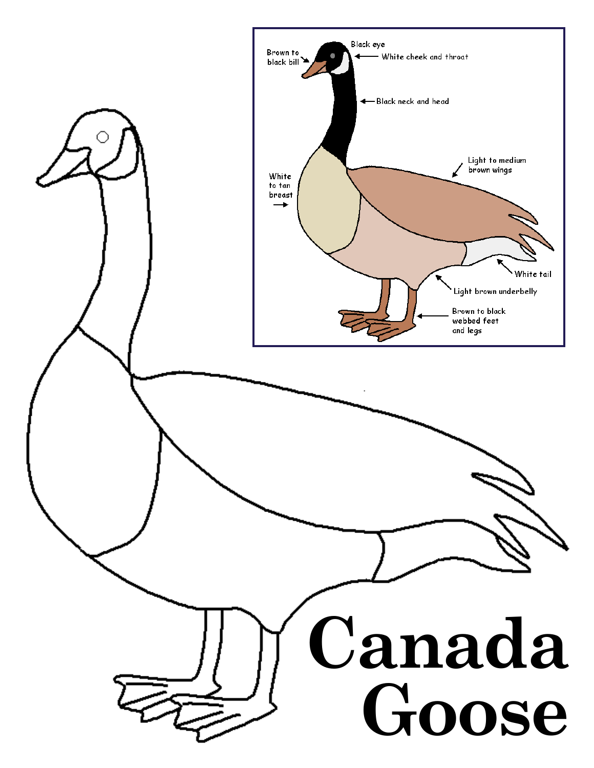